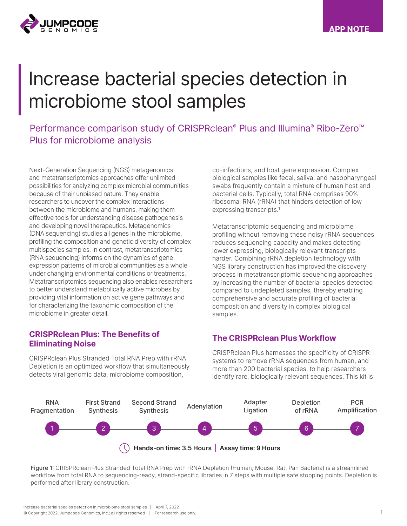

# Increase bacterial species detection in microbiome stool samples

Performance comparison study of CRISPRclean® Plus and Illumina® Ribo-Zero<sup>™</sup> Plus for microbiome analysis

Next-Generation Sequencing (NGS) metagenomics and metatranscriptomics approaches offer unlimited possibilities for analyzing complex microbial communities because of their unbiased nature. They enable researchers to uncover the complex interactions between the microbiome and humans, making them effective tools for understanding disease pathogenesis and developing novel therapeutics. Metagenomics (DNA sequencing) studies all genes in the microbiome, profiling the composition and genetic diversity of complex multispecies samples. In contrast, metatranscriptomics (RNA sequencing) informs on the dynamics of gene expression patterns of microbial communities as a whole under changing environmental conditions or treatments. Metatranscriptomics sequencing also enables researchers to better understand metabolically active microbes by providing vital information on active gene pathways and for characterizing the taxonomic composition of the microbiome in greater detail.

#### CRISPRclean Plus: The Benefits of Eliminating Noise

CRISPRclean Plus Stranded Total RNA Prep with rRNA Depletion is an optimized workflow that simultaneously detects viral genomic data, microbiome composition,

co-infections, and host gene expression. Complex biological samples like fecal, saliva, and nasopharyngeal swabs frequently contain a mixture of human host and bacterial cells. Typically, total RNA comprises 90% ribosomal RNA (rRNA) that hinders detection of low expressing transcripts.<sup>1</sup>

Metatranscriptomic sequencing and microbiome profiling without removing these noisy rRNA sequences reduces sequencing capacity and makes detecting lower expressing, biologically relevant transcripts harder. Combining rRNA depletion technology with NGS library construction has improved the discovery process in metatranscriptomic sequencing approaches by increasing the number of bacterial species detected compared to undepleted samples, thereby enabling comprehensive and accurate profiling of bacterial composition and diversity in complex biological samples.

#### The CRISPRclean Plus Workflow

CRISPRclean Plus harnesses the specificity of CRISPR systems to remove rRNA sequences from human, and more than 200 bacterial species, to help researchers identify rare, biologically relevant sequences. This kit is



Figure 1: CRISPRclean Plus Stranded Total RNA Prep with rRNA Depletion (Human, Mouse, Rat, Pan Bacteria) is a streamlined workflow from total RNA to sequencing-ready, strand-specific libraries in 7 steps with multiple safe stopping points. Depletion is performed after library construction.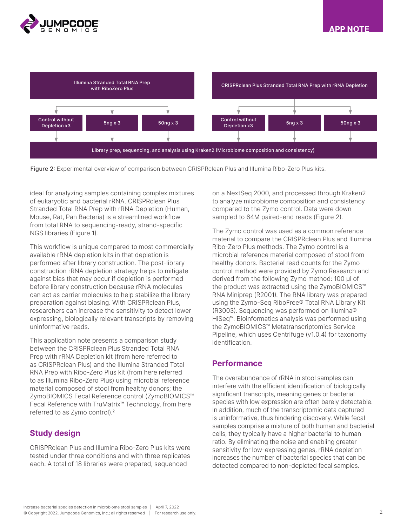



Figure 2: Experimental overview of comparison between CRISPRclean Plus and Illumina Ribo-Zero Plus kits.

ideal for analyzing samples containing complex mixtures of eukaryotic and bacterial rRNA. CRISPRclean Plus Stranded Total RNA Prep with rRNA Depletion (Human, Mouse, Rat, Pan Bacteria) is a streamlined workflow from total RNA to sequencing-ready, strand-specific NGS libraries (Figure 1).

This workflow is unique compared to most commercially available rRNA depletion kits in that depletion is performed after library construction. The post-library construction rRNA depletion strategy helps to mitigate against bias that may occur if depletion is performed before library construction because rRNA molecules can act as carrier molecules to help stabilize the library preparation against biasing. With CRISPRclean Plus, researchers can increase the sensitivity to detect lower expressing, biologically relevant transcripts by removing uninformative reads.

This application note presents a comparison study between the CRISPRclean Plus Stranded Total RNA Prep with rRNA Depletion kit (from here referred to as CRISPRclean Plus) and the Illumina Stranded Total RNA Prep with Ribo-Zero Plus kit (from here referred to as Illumina Ribo-Zero Plus) using microbial reference material composed of stool from healthy donors; the ZymoBIOMICS Fecal Reference control (ZymoBIOMICS™ Fecal Reference with TruMatrix™ Technology, from here referred to as Zymo control).<sup>2</sup>

#### Study design

CRISPRclean Plus and Illumina Ribo-Zero Plus kits were tested under three conditions and with three replicates each. A total of 18 libraries were prepared, sequenced

on a NextSeq 2000, and processed through Kraken2 to analyze microbiome composition and consistency compared to the Zymo control. Data were down sampled to 64M paired-end reads (Figure 2).

The Zymo control was used as a common reference material to compare the CRISPRclean Plus and Illumina Ribo-Zero Plus methods. The Zymo control is a microbial reference material composed of stool from healthy donors. Bacterial read counts for the Zymo control method were provided by Zymo Research and derived from the following Zymo method: 100 µl of the product was extracted using the ZymoBIOMICS™ RNA Miniprep (R2001). The RNA library was prepared using the Zymo-Seq RiboFree® Total RNA Library Kit (R3003). Sequencing was performed on Illumina® HiSeq™. Bioinformatics analysis was performed using the ZymoBIOMICS™ Metatranscriptomics Service Pipeline, which uses Centrifuge (v1.0.4) for taxonomy identification.

#### **Performance**

The overabundance of rRNA in stool samples can interfere with the efficient identification of biologically significant transcripts, meaning genes or bacterial species with low expression are often barely detectable. In addition, much of the transcriptomic data captured is uninformative, thus hindering discovery. While fecal samples comprise a mixture of both human and bacterial cells, they typically have a higher bacterial to human ratio. By eliminating the noise and enabling greater sensitivity for low-expressing genes, rRNA depletion increases the number of bacterial species that can be detected compared to non-depleted fecal samples.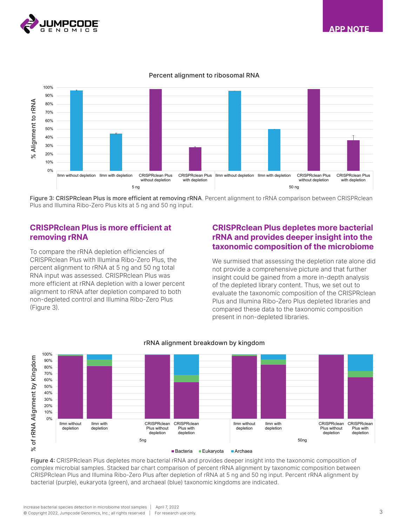





# Percent alignment to ribosomal RNA Percent alignment to ribosomal RNA

Figure 3: CRISPRclean Plus is more efficient at removing rRNA. Percent alignment to rRNA comparison between CRISPRclean Plus and Illumina Ribo-Zero Plus kits at 5 ng and 50 ng input.

#### CRISPRclean Plus is more efficient at removing rRNA

To compare the rRNA depletion efficiencies of CRISPRclean Plus with Illumina Ribo-Zero Plus, the percent alignment to rRNA at 5 ng and 50 ng total RNA input was assessed. CRISPRclean Plus was more efficient at rRNA depletion with a lower percent alignment to rRNA after depletion compared to both non-depleted control and Illumina Ribo-Zero Plus (Figure 3).

#### CRISPRclean Plus depletes more bacterial rRNA and provides deeper insight into the taxonomic composition of the microbiome

We surmised that assessing the depletion rate alone did not provide a comprehensive picture and that further insight could be gained from a more in-depth analysis of the depleted library content. Thus, we set out to evaluate the taxonomic composition of the CRISPRclean Plus and Illumina Ribo-Zero Plus depleted libraries and compared these data to the taxonomic composition present in non-depleted libraries.



## rRNA alignment breakdown by kingdom rRNA alignment breakdown by kingdom

Figure 4: CRISPRclean Plus depletes more bacterial rRNA and provides deeper insight into the taxonomic composition of complex microbial samples. Stacked bar chart comparison of percent rRNA alignment by taxonomic composition between CRISPRclean Plus and Illumina Ribo-Zero Plus after depletion of rRNA at 5 ng and 50 ng input. Percent rRNA alignment by bacterial (purple), eukaryota (green), and archaeal (blue) taxonomic kingdoms are indicated.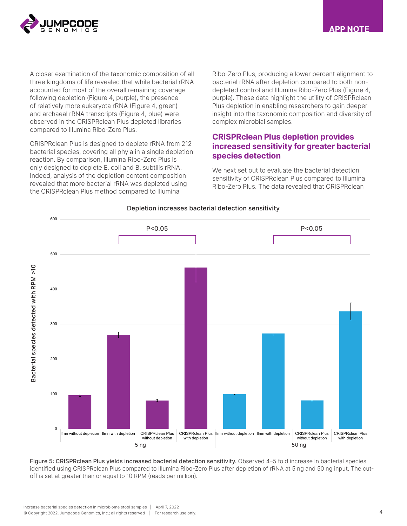

APP NOTE

A closer examination of the taxonomic composition of all three kingdoms of life revealed that while bacterial rRNA accounted for most of the overall remaining coverage following depletion (Figure 4, purple), the presence of relatively more eukaryota rRNA (Figure 4, green) and archaeal rRNA transcripts (Figure 4, blue) were observed in the CRISPRclean Plus depleted libraries compared to Illumina Ribo-Zero Plus.

CRISPRclean Plus is designed to deplete rRNA from 212 bacterial species, covering all phyla in a single depletion reaction. By comparison, Illumina Ribo-Zero Plus is only designed to deplete E. coli and B. subtilis rRNA. Indeed, analysis of the depletion content composition revealed that more bacterial rRNA was depleted using the CRISPRclean Plus method compared to Illumina

Ribo-Zero Plus, producing a lower percent alignment to bacterial rRNA after depletion compared to both nondepleted control and Illumina Ribo-Zero Plus (Figure 4, purple). These data highlight the utility of CRISPRclean Plus depletion in enabling researchers to gain deeper insight into the taxonomic composition and diversity of complex microbial samples.

#### CRISPRclean Plus depletion provides increased sensitivity for greater bacterial species detection

We next set out to evaluate the bacterial detection sensitivity of CRISPRclean Plus compared to Illumina Ribo-Zero Plus. The data revealed that CRISPRclean



Depletion increases bacterial detection sensitivity

Figure 5: CRISPRclean Plus yields increased bacterial detection sensitivity. Observed 4-5 fold increase in bacterial species identified using CRISPRclean Plus compared to Illumina Ribo-Zero Plus after depletion of rRNA at 5 ng and 50 ng input. The cutoff is set at greater than or equal to 10 RPM (reads per million).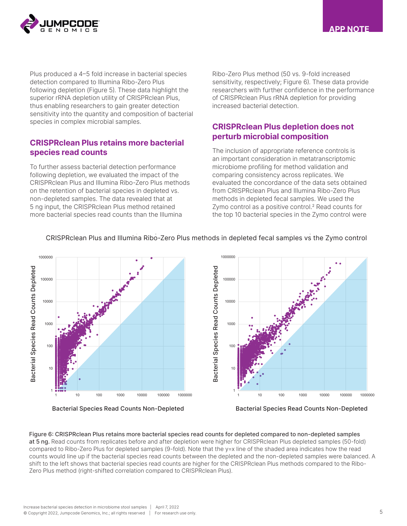

APP NOTE

Plus produced a 4–5 fold increase in bacterial species detection compared to Illumina Ribo-Zero Plus following depletion (Figure 5). These data highlight the superior rRNA depletion utility of CRISPRclean Plus, thus enabling researchers to gain greater detection sensitivity into the quantity and composition of bacterial species in complex microbial samples.

#### CRISPRclean Plus retains more bacterial species read counts

To further assess bacterial detection performance following depletion, we evaluated the impact of the CRISPRclean Plus and Illumina Ribo-Zero Plus methods on the retention of bacterial species in depleted vs. non-depleted samples. The data revealed that at 5 ng input, the CRISPRclean Plus method retained more bacterial species read counts than the Illumina

Ribo-Zero Plus method (50 vs. 9-fold increased sensitivity, respectively; Figure 6). These data provide researchers with further confidence in the performance of CRISPRclean Plus rRNA depletion for providing .<br>.<br>increased bacterial detection.

### **CRISPRclean Plus depletion does not** perturb microbial composition

The inclusion of appropriate reference controls is an important consideration in metatranscriptomic microbiome profiling for method validation and 100 comparing consistency across replicates. We evaluated the concordance of the data sets obtained from CRISPRclean Plus and Illumina Ribo-Zero Plus 10 methods in depleted fecal samples. We used the Zymo control as a positive control.<sup>2</sup> Read counts for the top 10 bacterial species in the Zymo control were C<br>P<br>m<br>m



#### CRISPRclean Plus and Illumina Ribo-Zero Plus methods in depleted fecal samples vs the Zymo control

Figure 6: CRISPRclean Plus retains more bacterial species read counts for depleted compared to non-depleted samples 1000000 at 5 ng. Read counts from replicates before and after depletion were higher for CRISPRclean Plus depleted samples (50-fold) compared to Ribo-Zero Plus for depleted samples (9-fold). Note that the y=x line of the shaded area indicates how the read counts would line up if the bacterial species read counts between the depleted and the non-depleted samples were balanced. A shift to the left shows that bacterial species read counts are higher for the CRISPRclean Plus methods compared to the Ribo-Zero Plus method (right-shifted correlation compared to CRISPRclean Plus).